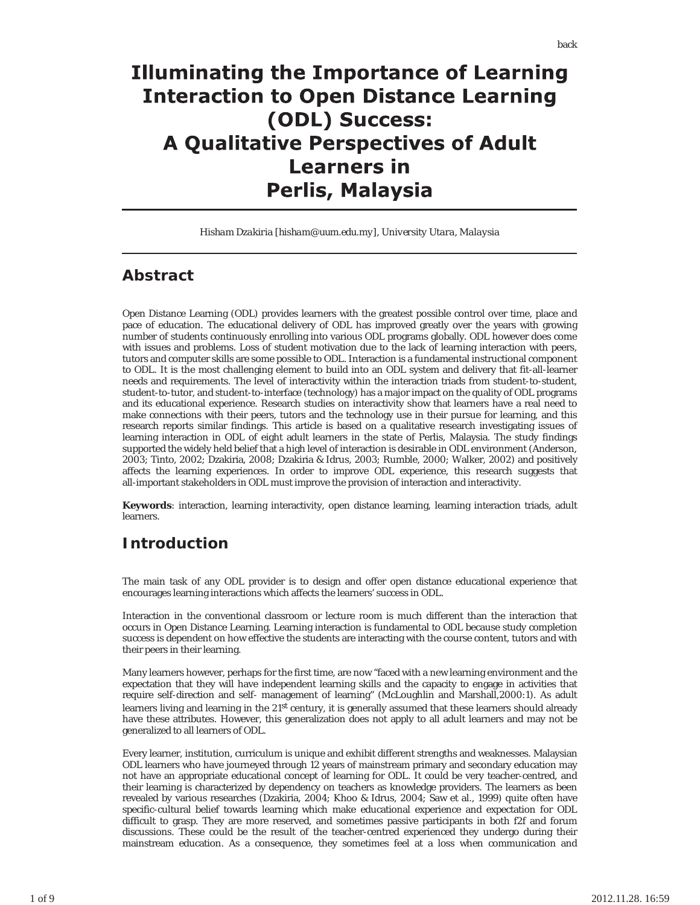# **Illuminating the Importance of Learning Interaction to Open Distance Learning** (ODL) Success: **A Qualitative Perspectives of Adult Learners in Perlis, Malaysia**

*Hisham Dzakiria [hisham@uum.edu.my], University Utara, Malaysia*

#### **Abstract**

Open Distance Learning (ODL) provides learners with the greatest possible control over time, place and pace of education. The educational delivery of ODL has improved greatly over the years with growing number of students continuously enrolling into various ODL programs globally. ODL however does come with issues and problems. Loss of student motivation due to the lack of learning interaction with peers, tutors and computer skills are some possible to ODL. Interaction is a fundamental instructional component to ODL. It is the most challenging element to build into an ODL system and delivery that fit-all-learner needs and requirements. The level of interactivity within the interaction triads from student-to-student, student-to-tutor, and student-to-interface (technology) has a major impact on the quality of ODL programs and its educational experience. Research studies on interactivity show that learners have a real need to make connections with their peers, tutors and the technology use in their pursue for learning, and this research reports similar findings. This article is based on a qualitative research investigating issues of learning interaction in ODL of eight adult learners in the state of Perlis, Malaysia. The study findings supported the widely held belief that a high level of interaction is desirable in ODL environment (Anderson, 2003; Tinto, 2002; Dzakiria, 2008; Dzakiria & Idrus, 2003; Rumble, 2000; Walker, 2002) and positively affects the learning experiences. In order to improve ODL experience, this research suggests that all-important stakeholders in ODL must improve the provision of interaction and interactivity.

**Keywords**: interaction, learning interactivity, open distance learning, learning interaction triads, adult learners.

### **Introduction**

The main task of any ODL provider is to design and offer open distance educational experience that encourages learning interactions which affects the learners' success in ODL.

Interaction in the conventional classroom or lecture room is much different than the interaction that occurs in Open Distance Learning. Learning interaction is fundamental to ODL because study completion success is dependent on how effective the students are interacting with the course content, tutors and with their peers in their learning.

Many learners however, perhaps for the first time, are now "faced with a new learning environment and the expectation that they will have independent learning skills and the capacity to engage in activities that require self-direction and self- management of learning" (McLoughlin and Marshall,2000:1). As adult learners living and learning in the 21<sup>st</sup> century, it is generally assumed that these learners should already have these attributes. However, this generalization does not apply to all adult learners and may not be generalized to all learners of ODL.

Every learner, institution, curriculum is unique and exhibit different strengths and weaknesses. Malaysian ODL learners who have journeyed through 12 years of mainstream primary and secondary education may not have an appropriate educational concept of learning for ODL. It could be very teacher-centred, and their learning is characterized by dependency on teachers as knowledge providers. The learners as been revealed by various researches (Dzakiria, 2004; Khoo & Idrus, 2004; Saw et al., 1999) quite often have specific-cultural belief towards learning which make educational experience and expectation for ODL difficult to grasp. They are more reserved, and sometimes passive participants in both f2f and forum discussions. These could be the result of the teacher-centred experienced they undergo during their mainstream education. As a consequence, they sometimes feel at a loss when communication and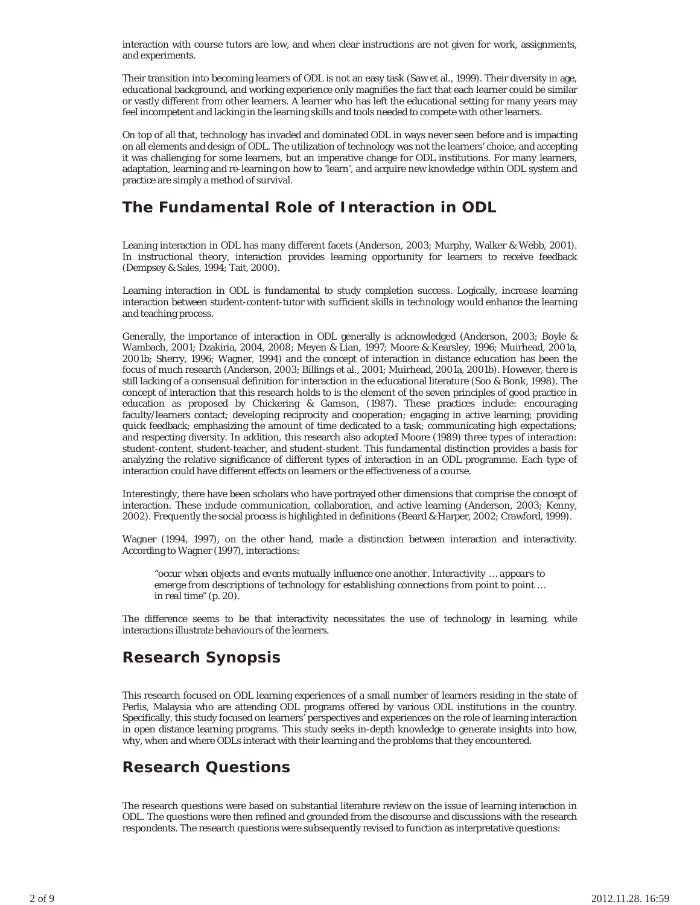interaction with course tutors are low, and when clear instructions are not given for work, assignments, and experiments.

Their transition into becoming learners of ODL is not an easy task (Saw et al., 1999). Their diversity in age, educational background, and working experience only magnifies the fact that each learner could be similar or vastly different from other learners. A learner who has left the educational setting for many years may feel incompetent and lacking in the learning skills and tools needed to compete with other learners.

On top of all that, technology has invaded and dominated ODL in ways never seen before and is impacting on all elements and design of ODL. The utilization of technology was not the learners' choice, and accepting it was challenging for some learners, but an imperative change for ODL institutions. For many learners, adaptation, learning and re-learning on how to 'learn', and acquire new knowledge within ODL system and practice are simply a method of survival.

## **The Fundamental Role of Interaction in ODL**

Leaning interaction in ODL has many different facets (Anderson, 2003; Murphy, Walker & Webb, 2001). In instructional theory, interaction provides learning opportunity for learners to receive feedback (Dempsey & Sales, 1994; Tait, 2000).

Learning interaction in ODL is fundamental to study completion success. Logically, increase learning interaction between student-content-tutor with sufficient skills in technology would enhance the learning and teaching process.

Generally, the importance of interaction in ODL generally is acknowledged (Anderson, 2003; Boyle & Wambach, 2001; Dzakiria, 2004, 2008; Meyen & Lian, 1997; Moore & Kearsley, 1996; Muirhead, 2001a, 2001b; Sherry, 1996; Wagner, 1994) and the concept of interaction in distance education has been the focus of much research (Anderson, 2003; Billings et al., 2001; Muirhead, 2001a, 2001b). However, there is still lacking of a consensual definition for interaction in the educational literature (Soo & Bonk, 1998). The concept of interaction that this research holds to is the element of the seven principles of good practice in education as proposed by Chickering & Gamson, (1987). These practices include: encouraging faculty/learners contact; developing reciprocity and cooperation; engaging in active learning; providing quick feedback; emphasizing the amount of time dedicated to a task; communicating high expectations; and respecting diversity. In addition, this research also adopted Moore (1989) three types of interaction: student-content, student-teacher, and student-student. This fundamental distinction provides a basis for analyzing the relative significance of different types of interaction in an ODL programme. Each type of interaction could have different effects on learners or the effectiveness of a course.

Interestingly, there have been scholars who have portrayed other dimensions that comprise the concept of interaction. These include communication, collaboration, and active learning (Anderson, 2003; Kenny, 2002). Frequently the social process is highlighted in definitions (Beard & Harper, 2002; Crawford, 1999).

Wagner (1994, 1997), on the other hand, made a distinction between interaction and interactivity. According to Wagner (1997), interactions:

*"occur when objects and events mutually influence one another. Interactivity … appears to emerge from descriptions of technology for establishing connections from point to point … in real time" (p. 20).*

The difference seems to be that interactivity necessitates the use of technology in learning, while interactions illustrate behaviours of the learners.

### **Research Synopsis**

This research focused on ODL learning experiences of a small number of learners residing in the state of Perlis, Malaysia who are attending ODL programs offered by various ODL institutions in the country. Specifically, this study focused on learners' perspectives and experiences on the role of learning interaction in open distance learning programs. This study seeks in-depth knowledge to generate insights into how, why, when and where ODLs interact with their learning and the problems that they encountered.

### **Research Questions**

The research questions were based on substantial literature review on the issue of learning interaction in ODL. The questions were then refined and grounded from the discourse and discussions with the research respondents. The research questions were subsequently revised to function as interpretative questions: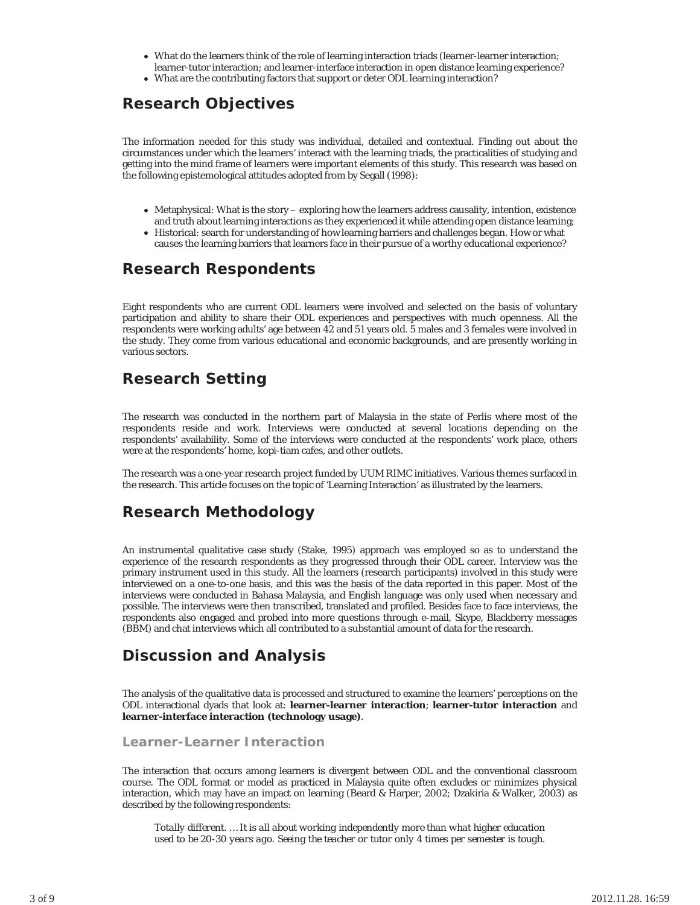- What do the learners think of the role of learning interaction triads (learner-learner interaction; learner-tutor interaction; and learner-interface interaction in open distance learning experience?
- What are the contributing factors that support or deter ODL learning interaction?

## **Research Objectives**

The information needed for this study was individual, detailed and contextual. Finding out about the circumstances under which the learners' interact with the learning triads, the practicalities of studying and getting into the mind frame of learners were important elements of this study. This research was based on the following epistemological attitudes adopted from by Segall (1998):

- Metaphysical: What is the story exploring how the learners address causality, intention, existence and truth about learning interactions as they experienced it while attending open distance learning;
- Historical: search for understanding of how learning barriers and challenges began. How or what causes the learning barriers that learners face in their pursue of a worthy educational experience?

### **Research Respondents**

Eight respondents who are current ODL learners were involved and selected on the basis of voluntary participation and ability to share their ODL experiences and perspectives with much openness. All the respondents were working adults' age between 42 and 51 years old. 5 males and 3 females were involved in the study. They come from various educational and economic backgrounds, and are presently working in various sectors.

# **Research Setting**

The research was conducted in the northern part of Malaysia in the state of Perlis where most of the respondents reside and work. Interviews were conducted at several locations depending on the respondents' availability. Some of the interviews were conducted at the respondents' work place, others were at the respondents' home, kopi-tiam cafes, and other outlets.

The research was a one-year research project funded by UUM RIMC initiatives. Various themes surfaced in the research. This article focuses on the topic of 'Learning Interaction' as illustrated by the learners.

### **Research Methodology**

An instrumental qualitative case study (Stake, 1995) approach was employed so as to understand the experience of the research respondents as they progressed through their ODL career. Interview was the primary instrument used in this study. All the learners (research participants) involved in this study were interviewed on a one-to-one basis, and this was the basis of the data reported in this paper. Most of the interviews were conducted in Bahasa Malaysia, and English language was only used when necessary and possible. The interviews were then transcribed, translated and profiled. Besides face to face interviews, the respondents also engaged and probed into more questions through e-mail, Skype, Blackberry messages (BBM) and chat interviews which all contributed to a substantial amount of data for the research.

### **Discussion and Analysis**

The analysis of the qualitative data is processed and structured to examine the learners' perceptions on the ODL interactional dyads that look at: **learner-learner interaction**; **learner-tutor interaction** and **learner-interface interaction (technology usage)**.

**Learner-Learner Interaction**

The interaction that occurs among learners is divergent between ODL and the conventional classroom course. The ODL format or model as practiced in Malaysia quite often excludes or minimizes physical interaction, which may have an impact on learning (Beard & Harper, 2002; Dzakiria & Walker, 2003) as described by the following respondents:

*Totally different. … It is all about working independently more than what higher education used to be 20-30 years ago. Seeing the teacher or tutor only 4 times per semester is tough.*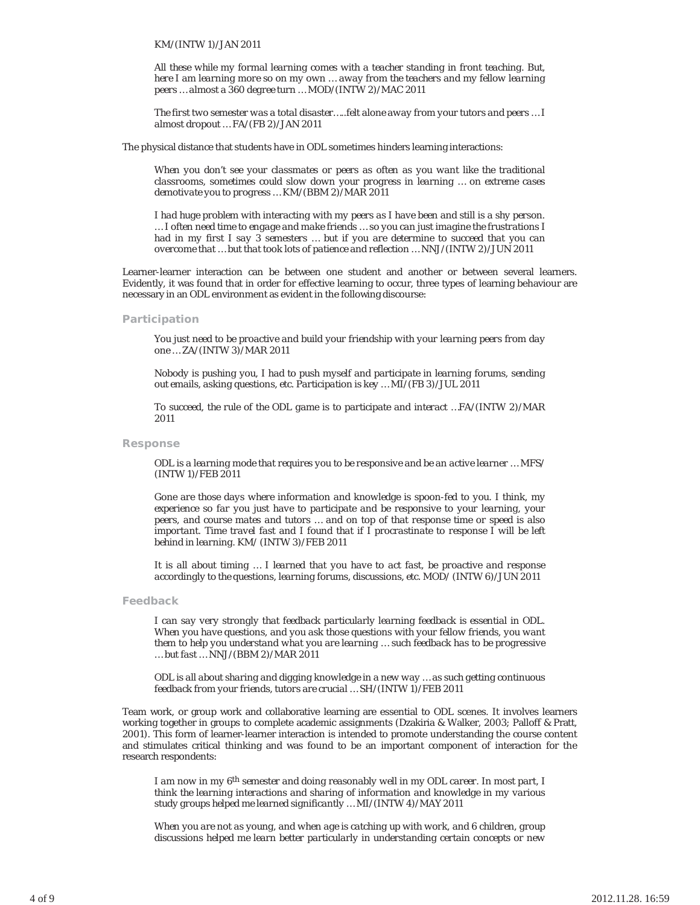#### *KM/(INTW 1)/JAN 2011*

*All these while my formal learning comes with a teacher standing in front teaching. But, here I am learning more so on my own … away from the teachers and my fellow learning peers … almost a 360 degree turn … MOD/(INTW 2)/MAC 2011*

*The first two semester was a total disaster…..felt alone away from your tutors and peers … I almost dropout … FA/(FB 2)/JAN 2011*

The physical distance that students have in ODL sometimes hinders learning interactions:

*When you don't see your classmates or peers as often as you want like the traditional classrooms, sometimes could slow down your progress in learning … on extreme cases demotivate you to progress … KM/(BBM 2)/MAR 2011*

*I had huge problem with interacting with my peers as I have been and still is a shy person. … I often need time to engage and make friends … so you can just imagine the frustrations I had in my first I say 3 semesters … but if you are determine to succeed that you can overcome that … but that took lots of patience and reflection … NNJ/(INTW 2)/JUN 2011*

Learner-learner interaction can be between one student and another or between several learners. Evidently, it was found that in order for effective learning to occur, three types of learning behaviour are necessary in an ODL environment as evident in the following discourse:

#### **Participation**

*You just need to be proactive and build your friendship with your learning peers from day one … ZA/(INTW 3)/MAR 2011*

*Nobody is pushing you, I had to push myself and participate in learning forums, sending out emails, asking questions, etc. Participation is key … MI/(FB 3)/JUL 2011*

*To succeed, the rule of the ODL game is to participate and interact …FA/(INTW 2)/MAR 2011*

**Response**

*ODL is a learning mode that requires you to be responsive and be an active learner … MFS/ (INTW 1)/FEB 2011*

*Gone are those days where information and knowledge is spoon-fed to you. I think, my experience so far you just have to participate and be responsive to your learning, your peers, and course mates and tutors … and on top of that response time or speed is also important. Time travel fast and I found that if I procrastinate to response I will be left behind in learning. KM/ (INTW 3)/FEB 2011*

*It is all about timing … I learned that you have to act fast, be proactive and response accordingly to the questions, learning forums, discussions, etc. MOD/ (INTW 6)/JUN 2011*

**Feedback**

*I can say very strongly that feedback particularly learning feedback is essential in ODL. When you have questions, and you ask those questions with your fellow friends, you want them to help you understand what you are learning … such feedback has to be progressive … but fast … NNJ/(BBM 2)/MAR 2011*

*ODL is all about sharing and digging knowledge in a new way … as such getting continuous feedback from your friends, tutors are crucial … SH/(INTW 1)/FEB 2011*

Team work, or group work and collaborative learning are essential to ODL scenes. It involves learners working together in groups to complete academic assignments (Dzakiria & Walker, 2003; Palloff & Pratt, 2001). This form of learner-learner interaction is intended to promote understanding the course content and stimulates critical thinking and was found to be an important component of interaction for the research respondents:

*I am now in my 6th semester and doing reasonably well in my ODL career. In most part, I think the learning interactions and sharing of information and knowledge in my various study groups helped me learned significantly … MI/(INTW 4)/MAY 2011*

*When you are not as young, and when age is catching up with work, and 6 children, group discussions helped me learn better particularly in understanding certain concepts or new*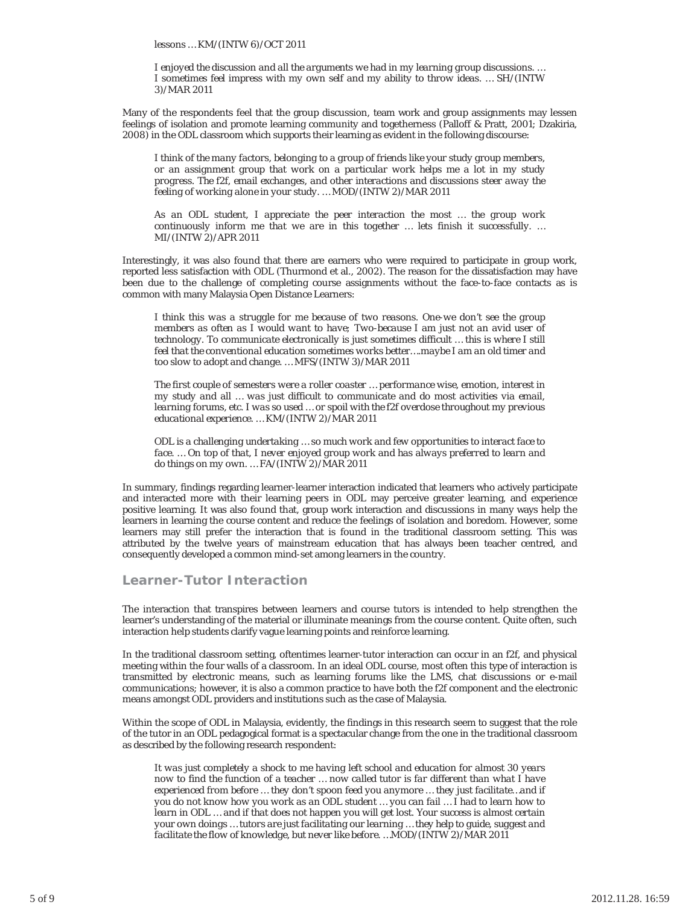*lessons … KM/(INTW 6)/OCT 2011*

*I enjoyed the discussion and all the arguments we had in my learning group discussions. … I sometimes feel impress with my own self and my ability to throw ideas. … SH/(INTW 3)/MAR 2011*

Many of the respondents feel that the group discussion, team work and group assignments may lessen feelings of isolation and promote learning community and togetherness (Palloff & Pratt, 2001; Dzakiria, 2008) in the ODL classroom which supports their learning as evident in the following discourse:

*I think of the many factors, belonging to a group of friends like your study group members, or an assignment group that work on a particular work helps me a lot in my study progress. The f2f, email exchanges, and other interactions and discussions steer away the feeling of working alone in your study. … MOD/(INTW 2)/MAR 2011*

*As an ODL student, I appreciate the peer interaction the most … the group work continuously inform me that we are in this together … lets finish it successfully. … MI/(INTW 2)/APR 2011*

Interestingly, it was also found that there are earners who were required to participate in group work, reported less satisfaction with ODL (Thurmond et al., 2002). The reason for the dissatisfaction may have been due to the challenge of completing course assignments without the face-to-face contacts as is common with many Malaysia Open Distance Learners:

*I think this was a struggle for me because of two reasons. One-we don't see the group members as often as I would want to have; Two-because I am just not an avid user of technology. To communicate electronically is just sometimes difficult … this is where I still feel that the conventional education sometimes works better….maybe I am an old timer and too slow to adopt and change. … MFS/(INTW 3)/MAR 2011*

*The first couple of semesters were a roller coaster … performance wise, emotion, interest in my study and all … was just difficult to communicate and do most activities via email, learning forums, etc. I was so used … or spoil with the f2f overdose throughout my previous educational experience. … KM/(INTW 2)/MAR 2011*

*ODL is a challenging undertaking … so much work and few opportunities to interact face to face. … On top of that, I never enjoyed group work and has always preferred to learn and do things on my own. … FA/(INTW 2)/MAR 2011*

In summary, findings regarding learner-learner interaction indicated that learners who actively participate and interacted more with their learning peers in ODL may perceive greater learning, and experience positive learning. It was also found that, group work interaction and discussions in many ways help the learners in learning the course content and reduce the feelings of isolation and boredom. However, some learners may still prefer the interaction that is found in the traditional classroom setting. This was attributed by the twelve years of mainstream education that has always been teacher centred, and consequently developed a common mind-set among learners in the country.

#### **Learner-Tutor Interaction**

The interaction that transpires between learners and course tutors is intended to help strengthen the learner's understanding of the material or illuminate meanings from the course content. Quite often, such interaction help students clarify vague learning points and reinforce learning.

In the traditional classroom setting, oftentimes learner-tutor interaction can occur in an f2f, and physical meeting within the four walls of a classroom. In an ideal ODL course, most often this type of interaction is transmitted by electronic means, such as learning forums like the LMS, chat discussions or e-mail communications; however, it is also a common practice to have both the f2f component and the electronic means amongst ODL providers and institutions such as the case of Malaysia.

Within the scope of ODL in Malaysia, evidently, the findings in this research seem to suggest that the role of the tutor in an ODL pedagogical format is a spectacular change from the one in the traditional classroom as described by the following research respondent:

*It was just completely a shock to me having left school and education for almost 30 years now to find the function of a teacher … now called tutor is far different than what I have experienced from before … they don't spoon feed you anymore … they just facilitate…and if you do not know how you work as an ODL student … you can fail … I had to learn how to learn in ODL … and if that does not happen you will get lost. Your success is almost certain your own doings … tutors are just facilitating our learning … they help to guide, suggest and facilitate the flow of knowledge, but never like before. …MOD/(INTW 2)/MAR 2011*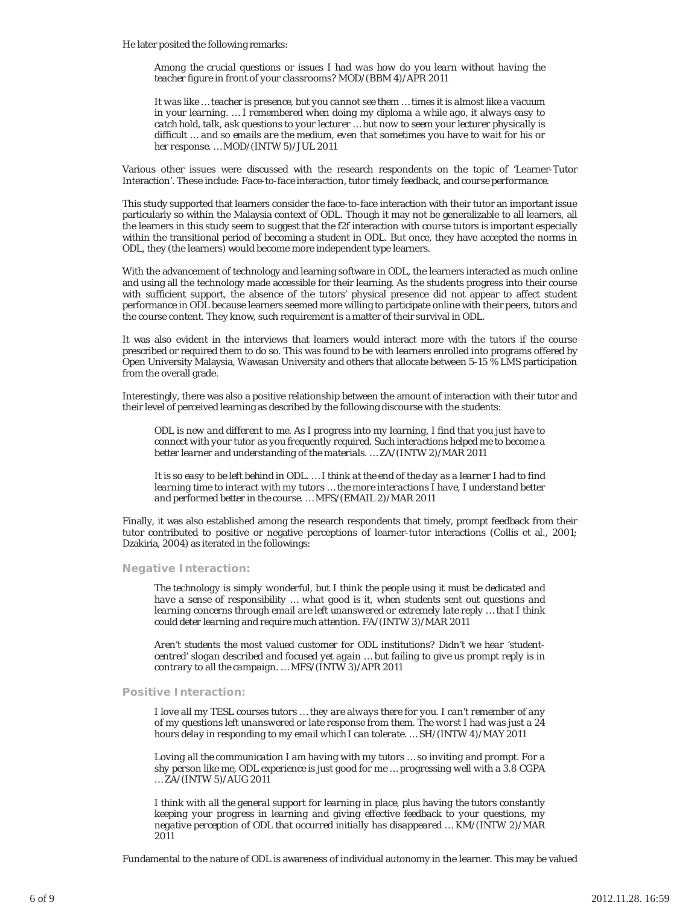He later posited the following remarks:

*Among the crucial questions or issues I had was how do you learn without having the teacher figure in front of your classrooms? MOD/(BBM 4)/APR 2011*

*It was like … teacher is presence, but you cannot see them … times it is almost like a vacuum in your learning. … I remembered when doing my diploma a while ago, it always easy to catch hold, talk, ask questions to your lecturer … but now to seem your lecturer physically is difficult … and so emails are the medium, even that sometimes you have to wait for his or her response. … MOD/(INTW 5)/JUL 2011*

Various other issues were discussed with the research respondents on the topic of 'Learner-Tutor Interaction'. These include: *Face-to-face interaction, tutor timely feedback*, and *course performance*.

This study supported that learners consider the face-to-face interaction with their tutor an important issue particularly so within the Malaysia context of ODL. Though it may not be generalizable to all learners, all the learners in this study seem to suggest that the f2f interaction with course tutors is important especially within the transitional period of becoming a student in ODL. But once, they have accepted the norms in ODL, they (the learners) would become more independent type learners.

With the advancement of technology and learning software in ODL, the learners interacted as much online and using all the technology made accessible for their learning. As the students progress into their course with sufficient support, the absence of the tutors' physical presence did not appear to affect student performance in ODL because learners seemed more willing to participate online with their peers, tutors and the course content. They know, such requirement is a matter of their survival in ODL.

It was also evident in the interviews that learners would interact more with the tutors if the course prescribed or required them to do so. This was found to be with learners enrolled into programs offered by Open University Malaysia, Wawasan University and others that allocate between 5-15 % LMS participation from the overall grade.

Interestingly, there was also a positive relationship between the amount of interaction with their tutor and their level of perceived learning as described by the following discourse with the students:

*ODL is new and different to me. As I progress into my learning, I find that you just have to connect with your tutor as you frequently required. Such interactions helped me to become a better learner and understanding of the materials. … ZA/(INTW 2)/MAR 2011*

*It is so easy to be left behind in ODL. … I think at the end of the day as a learner I had to find learning time to interact with my tutors … the more interactions I have, I understand better and performed better in the course. … MFS/(EMAIL 2)/MAR 2011*

Finally, it was also established among the research respondents that timely, prompt feedback from their tutor contributed to positive or negative perceptions of learner-tutor interactions (Collis et al., 2001; Dzakiria, 2004) as iterated in the followings:

#### **Negative Interaction:**

*The technology is simply wonderful, but I think the people using it must be dedicated and have a sense of responsibility … what good is it, when students sent out questions and learning concerns through email are left unanswered or extremely late reply … that I think could deter learning and require much attention. FA/(INTW 3)/MAR 2011*

*Aren't students the most valued customer for ODL institutions? Didn't we hear 'studentcentred' slogan described and focused yet again … but failing to give us prompt reply is in contrary to all the campaign. … MFS/(INTW 3)/APR 2011*

#### **Positive Interaction:**

*I love all my TESL courses tutors … they are always there for you. I can't remember of any of my questions left unanswered or late response from them. The worst I had was just a 24 hours delay in responding to my email which I can tolerate. … SH/(INTW 4)/MAY 2011*

*Loving all the communication I am having with my tutors … so inviting and prompt. For a shy person like me, ODL experience is just good for me … progressing well with a 3.8 CGPA … ZA/(INTW 5)/AUG 2011*

*I think with all the general support for learning in place, plus having the tutors constantly keeping your progress in learning and giving effective feedback to your questions, my negative perception of ODL that occurred initially has disappeared … KM/(INTW 2)/MAR 2011*

Fundamental to the nature of ODL is awareness of individual autonomy in the learner. This may be valued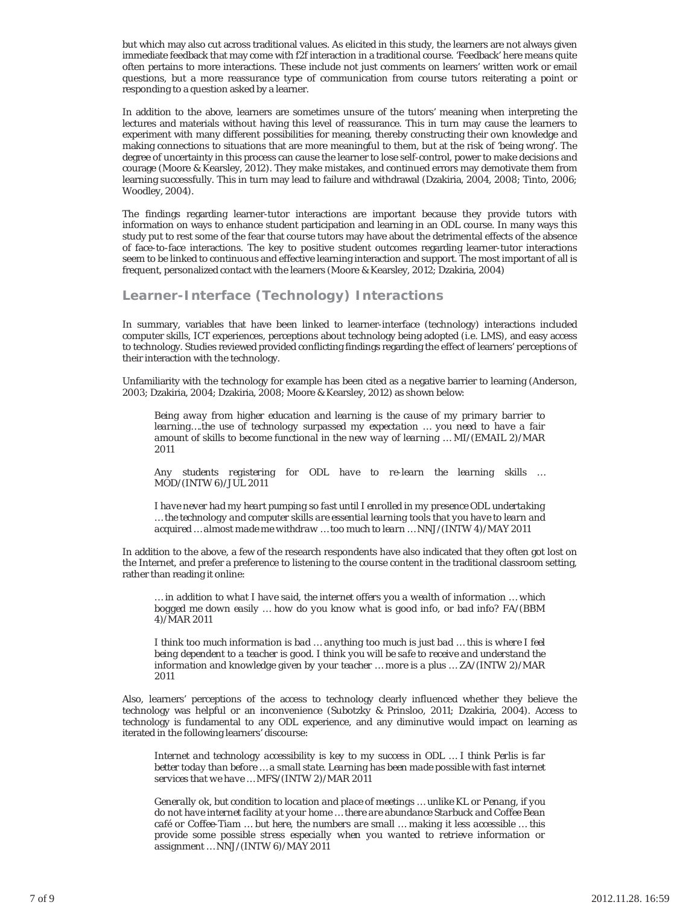but which may also cut across traditional values. As elicited in this study, the learners are not always given immediate feedback that may come with f2f interaction in a traditional course. 'Feedback' here means quite often pertains to more interactions. These include not just comments on learners' written work or email questions, but a more reassurance type of communication from course tutors reiterating a point or responding to a question asked by a learner.

In addition to the above, learners are sometimes unsure of the tutors' meaning when interpreting the lectures and materials without having this level of reassurance. This in turn may cause the learners to experiment with many different possibilities for meaning, thereby constructing their own knowledge and making connections to situations that are more meaningful to them, but at the risk of 'being wrong'. The degree of uncertainty in this process can cause the learner to lose self-control, power to make decisions and courage (Moore & Kearsley, 2012). They make mistakes, and continued errors may demotivate them from learning successfully. This in turn may lead to failure and withdrawal (Dzakiria, 2004, 2008; Tinto, 2006; Woodley, 2004).

The findings regarding learner-tutor interactions are important because they provide tutors with information on ways to enhance student participation and learning in an ODL course. In many ways this study put to rest some of the fear that course tutors may have about the detrimental effects of the absence of face-to-face interactions. The key to positive student outcomes regarding learner-tutor interactions seem to be linked to continuous and effective learning interaction and support. The most important of all is frequent, personalized contact with the learners (Moore & Kearsley, 2012; Dzakiria, 2004)

**Learner-Interface (Technology) Interactions**

In summary, variables that have been linked to learner-interface (technology) interactions included computer skills, ICT experiences, perceptions about technology being adopted (i.e. LMS), and easy access to technology. Studies reviewed provided conflicting findings regarding the effect of learners' perceptions of their interaction with the technology.

Unfamiliarity with the technology for example has been cited as a negative barrier to learning (Anderson, 2003; Dzakiria, 2004; Dzakiria, 2008; Moore & Kearsley, 2012) as shown below:

*Being away from higher education and learning is the cause of my primary barrier to learning….the use of technology surpassed my expectation … you need to have a fair amount of skills to become functional in the new way of learning … MI/(EMAIL 2)/MAR 2011*

*Any students registering for ODL have to re-learn the learning skills … MOD/(INTW 6)/JUL 2011*

*I have never had my heart pumping so fast until I enrolled in my presence ODL undertaking … the technology and computer skills are essential learning tools that you have to learn and acquired … almost made me withdraw … too much to learn … NNJ/(INTW 4)/MAY 2011*

In addition to the above, a few of the research respondents have also indicated that they often got lost on the Internet, and prefer a preference to listening to the course content in the traditional classroom setting, rather than reading it online:

*… in addition to what I have said, the internet offers you a wealth of information … which bogged me down easily … how do you know what is good info, or bad info? FA/(BBM 4)/MAR 2011*

*I think too much information is bad … anything too much is just bad … this is where I feel being dependent to a teacher is good. I think you will be safe to receive and understand the information and knowledge given by your teacher … more is a plus … ZA/(INTW 2)/MAR 2011*

Also, learners' perceptions of the access to technology clearly influenced whether they believe the technology was helpful or an inconvenience (Subotzky & Prinsloo, 2011; Dzakiria, 2004). Access to technology is fundamental to any ODL experience, and any diminutive would impact on learning as iterated in the following learners' discourse:

*Internet and technology accessibility is key to my success in ODL … I think Perlis is far better today than before … a small state. Learning has been made possible with fast internet services that we have … MFS/(INTW 2)/MAR 2011*

*Generally ok, but condition to location and place of meetings … unlike KL or Penang, if you do not have internet facility at your home … there are abundance Starbuck and Coffee Bean café or Coffee-Tiam … but here, the numbers are small … making it less accessible … this provide some possible stress especially when you wanted to retrieve information or assignment … NNJ/(INTW 6)/MAY 2011*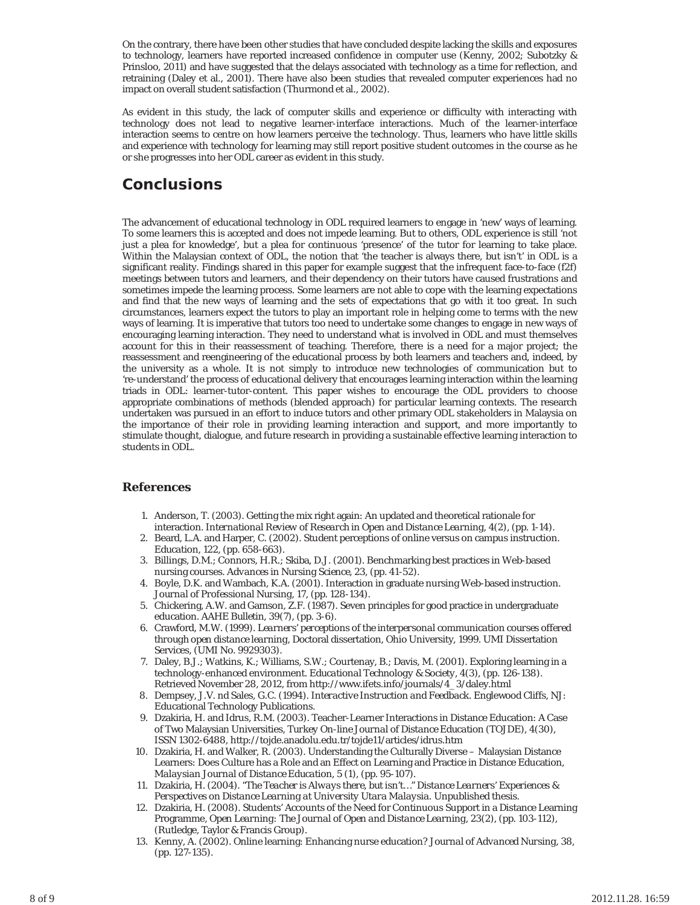On the contrary, there have been other studies that have concluded despite lacking the skills and exposures to technology, learners have reported increased confidence in computer use (Kenny, 2002; Subotzky & Prinsloo, 2011) and have suggested that the delays associated with technology as a time for reflection, and retraining (Daley et al., 2001). There have also been studies that revealed computer experiences had no impact on overall student satisfaction (Thurmond et al., 2002).

As evident in this study, the lack of computer skills and experience or difficulty with interacting with technology does not lead to negative learner-interface interactions. Much of the learner-interface interaction seems to centre on how learners perceive the technology. Thus, learners who have little skills and experience with technology for learning may still report positive student outcomes in the course as he or she progresses into her ODL career as evident in this study.

## **Conclusions**

The advancement of educational technology in ODL required learners to engage in 'new' ways of learning. To some learners this is accepted and does not impede learning. But to others, ODL experience is still 'not just a plea for knowledge', but a plea for continuous 'presence' of the tutor for learning to take place. Within the Malaysian context of ODL, the notion that 'the teacher is always there, but isn't' in ODL is a significant reality. Findings shared in this paper for example suggest that the infrequent face-to-face (f2f) meetings between tutors and learners, and their dependency on their tutors have caused frustrations and sometimes impede the learning process. Some learners are not able to cope with the learning expectations and find that the new ways of learning and the sets of expectations that go with it too great. In such circumstances, learners expect the tutors to play an important role in helping come to terms with the new ways of learning. It is imperative that tutors too need to undertake some changes to engage in new ways of encouraging learning interaction. They need to understand what is involved in ODL and must themselves account for this in their reassessment of teaching. Therefore, there is a need for a major project; the reassessment and reengineering of the educational process by both learners and teachers and, indeed, by the university as a whole. It is not simply to introduce new technologies of communication but to 're-understand' the process of educational delivery that encourages learning interaction within the learning triads in ODL: learner-tutor-content. This paper wishes to encourage the ODL providers to choose appropriate combinations of methods (blended approach) for particular learning contexts. The research undertaken was pursued in an effort to induce tutors and other primary ODL stakeholders in Malaysia on the importance of their role in providing learning interaction and support, and more importantly to stimulate thought, dialogue, and future research in providing a sustainable effective learning interaction to students in ODL.

#### **References**

- 1. Anderson, T. (2003). Getting the mix right again: An updated and theoretical rationale for interaction. *International Review of Research in Open and Distance Learning, 4(2)*, (pp. 1-14).
- 2. Beard, L.A. and Harper, C. (2002). Student perceptions of online versus on campus instruction. *Education, 122*, (pp. 658-663).
- Billings, D.M.; Connors, H.R.; Skiba, D.J. (2001). Benchmarking best practices in Web-based 3. nursing courses. *Advances in Nursing Science, 23*, (pp. 41-52).
- 4. Boyle, D.K. and Wambach, K.A. (2001). Interaction in graduate nursing Web-based instruction. *Journal of Professional Nursing, 17*, (pp. 128-134).
- 5. Chickering, A.W. and Gamson, Z.F. (1987). Seven principles for good practice in undergraduate education. *AAHE Bulletin, 39(7)*, (pp. 3-6).
- Crawford, M.W. (1999). *Learners' perceptions of the interpersonal communication courses offered* 6. *through open distance learning*, Doctoral dissertation, Ohio University, 1999. UMI Dissertation Services, (UMI No. 9929303).
- 7. Daley, B.J.; Watkins, K.; Williams, S.W.; Courtenay, B.; Davis, M. (2001). Exploring learning in a technology-enhanced environment. *Educational Technology & Society, 4(3)*, (pp. 126-138). Retrieved November 28, 2012, from http://www.ifets.info/journals/4\_3/daley.html
- 8. Dempsey, J.V. nd Sales, G.C. (1994). *Interactive Instruction and Feedback*. Englewood Cliffs, NJ: Educational Technology Publications.
- Dzakiria, H. and Idrus, R.M. (2003). Teacher-Learner Interactions in Distance Education: A Case 9. of Two Malaysian Universities, *Turkey On-line Journal of Distance Education (TOJDE), 4(30)*, ISSN 1302-6488, http://tojde.anadolu.edu.tr/tojde11/articles/idrus.htm
- 10. Dzakiria, H. and Walker, R. (2003). Understanding the Culturally Diverse Malaysian Distance Learners: Does Culture has a Role and an Effect on Learning and Practice in Distance Education, *Malaysian Journal of Distance Education, 5 (1)*, (pp. 95-107).
- Dzakiria, H. (2004). *"The Teacher is Always there, but isn't…" Distance Learners' Experiences &* 11. *Perspectives on Distance Learning at University Utara Malaysia.* Unpublished thesis.
- 12. Dzakiria, H. (2008). Students' Accounts of the Need for Continuous Support in a Distance Learning Programme, *Open Learning: The Journal of Open and Distance Learning, 23(2)*, (pp. 103-112), (Rutledge, Taylor & Francis Group).
- 13. Kenny, A. (2002). Online learning: Enhancing nurse education? *Journal of Advanced Nursing, 38*, (pp. 127-135).